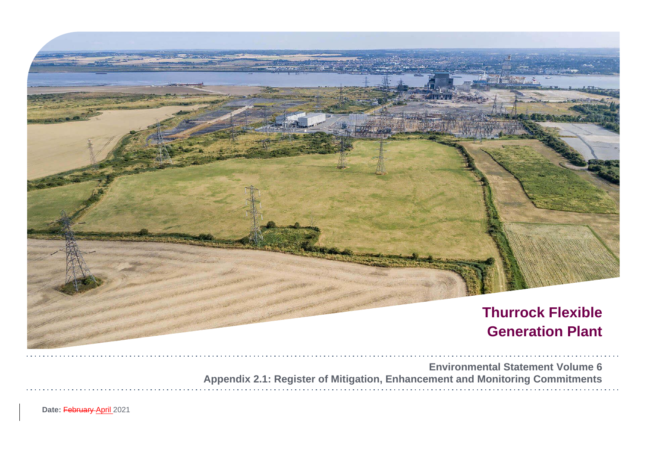

**Environment Appendix 2.1: Register of Mitigation, Enhancement and Mo** 

Date: February April 2021

|  |  |  | tal Statement Volume 6       |  |  |  |  |
|--|--|--|------------------------------|--|--|--|--|
|  |  |  | <b>Initoring Commitments</b> |  |  |  |  |
|  |  |  |                              |  |  |  |  |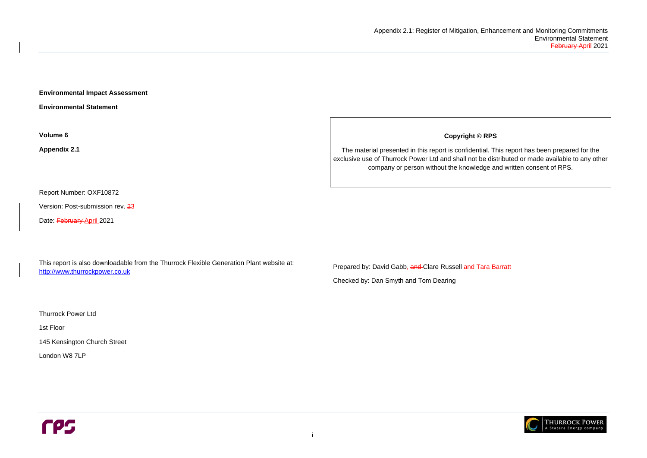i

**Environmental Impact Assessment** 

**Environmental Statement** 

**Volume 6**

**Appendix 2.1**

Report Number: OXF10872

Version: Post-submission rev. 23

Date: February April 2021

This report is also downloadable from the Thurrock Flexible Generation Plant website at: [http://www.thurrockpower.co.uk](http://www.thurrockpower.co.uk/)

Prepared by: David Gabb, and Clare Russell and Tara Barratt

Thurrock Power Ltd

1st Floor

145 Kensington Church Street

London W8 7LP

**CPS** 

#### **Copyright © RPS**

The material presented in this report is confidential. This report has been prepared for the exclusive use of Thurrock Power Ltd and shall not be distributed or made available to any other company or person without the knowledge and written consent of RPS.



Checked by: Dan Smyth and Tom Dearing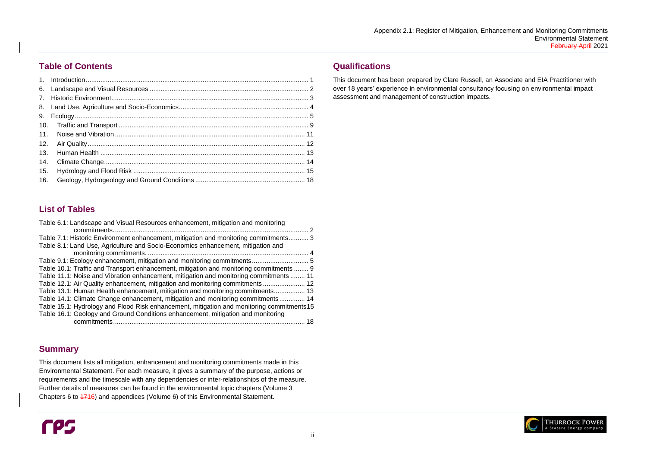

## **Table of Contents**

This document lists all mitigation, enhancement and monitoring commitments made in this Environmental Statement. For each measure, it gives a summary of the purpose, actions or requirements and the timescale with any dependencies or inter-relationships of the measure. Further details of measures can be found in the environmental topic chapters (Volume 3 Chapters 6 to  $\frac{4716}{2}$  and appendices (Volume 6) of this Environmental Statement.

# rps

## **List of Tables**

| Table 6.1: Landscape and Visual Resources enhancement, mitigation and monitoring           |
|--------------------------------------------------------------------------------------------|
|                                                                                            |
| Table 7.1: Historic Environment enhancement, mitigation and monitoring commitments 3       |
| Table 8.1: Land Use, Agriculture and Socio-Economics enhancement, mitigation and           |
|                                                                                            |
|                                                                                            |
| Table 10.1: Traffic and Transport enhancement, mitigation and monitoring commitments  9    |
| Table 11.1: Noise and Vibration enhancement, mitigation and monitoring commitments  11     |
| Table 12.1: Air Quality enhancement, mitigation and monitoring commitments 12              |
| Table 13.1: Human Health enhancement, mitigation and monitoring commitments 13             |
| Table 14.1: Climate Change enhancement, mitigation and monitoring commitments 14           |
| Table 15.1: Hydrology and Flood Risk enhancement, mitigation and monitoring commitments 15 |
| Table 16.1: Geology and Ground Conditions enhancement, mitigation and monitoring           |
| commitments<br>18                                                                          |

### **Summary**

## **Qualifications**

This document has been prepared by Clare Russell, an Associate and EIA Practitioner with over 18 years' experience in environmental consultancy focusing on environmental impact assessment and management of construction impacts.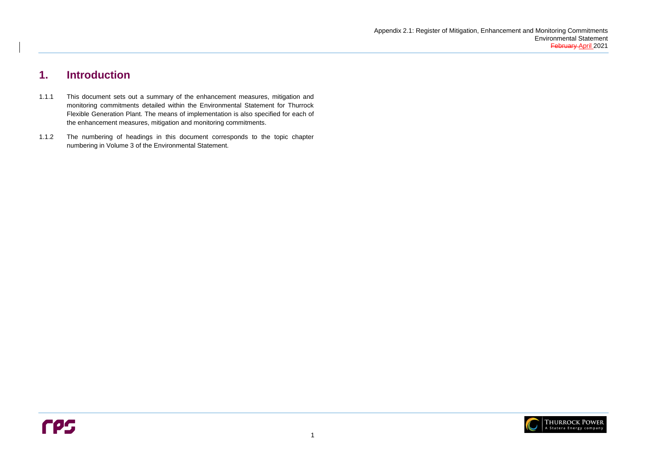

# <span id="page-3-0"></span>**1. Introduction**

- 1.1.1 This document sets out a summary of the enhancement measures, mitigation and monitoring commitments detailed within the Environmental Statement for Thurrock Flexible Generation Plant. The means of implementation is also specified for each of the enhancement measures, mitigation and monitoring commitments.
- 1.1.2 The numbering of headings in this document corresponds to the topic chapter numbering in Volume 3 of the Environmental Statement.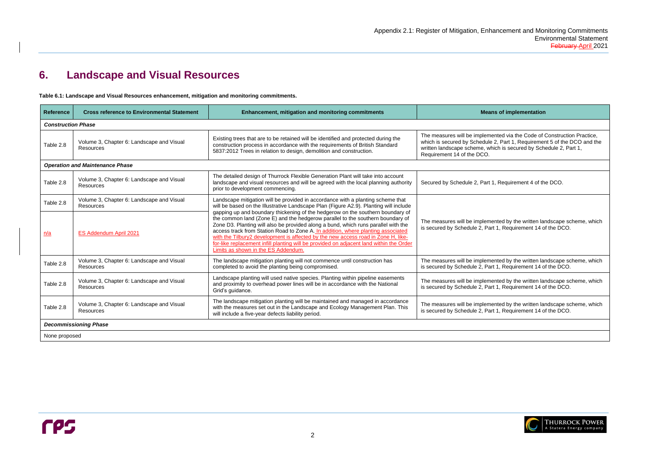#### **Reference in Engineer is an Sof implementation**

mented via the Code of Construction Practice, le 2, Part 1, Requirement 5 of the DCO and the which is secured by Schedule 2, Part 1,

 $1$ , Requirement 4 of the DCO.

mented by the written landscape scheme, which art 1, Requirement 14 of the DCO.

mented by the written landscape scheme, which art 1, Requirement 14 of the DCO.

nented by the written landscape scheme, which art 1, Requirement 14 of the DCO.

mented by the written landscape scheme, which art 1, Requirement 14 of the DCO.



# <span id="page-4-0"></span>**6. Landscape and Visual Resources**

<span id="page-4-1"></span>**Table 6.1: Landscape and Visual Resources enhancement, mitigation and monitoring commitments.**

| <b>Reference</b>          | <b>Cross reference to Environmental Statement</b>             | <b>Enhancement, mitigation and monitoring commitments</b>                                                                                                                                                                                                                                                                                                                                                                                                                                                                                                         | <b>Mea</b>                                                                                                              |
|---------------------------|---------------------------------------------------------------|-------------------------------------------------------------------------------------------------------------------------------------------------------------------------------------------------------------------------------------------------------------------------------------------------------------------------------------------------------------------------------------------------------------------------------------------------------------------------------------------------------------------------------------------------------------------|-------------------------------------------------------------------------------------------------------------------------|
| <b>Construction Phase</b> |                                                               |                                                                                                                                                                                                                                                                                                                                                                                                                                                                                                                                                                   |                                                                                                                         |
| Table 2.8                 | Volume 3, Chapter 6: Landscape and Visual<br><b>Resources</b> | Existing trees that are to be retained will be identified and protected during the<br>construction process in accordance with the requirements of British Standard<br>5837:2012 Trees in relation to design, demolition and construction.                                                                                                                                                                                                                                                                                                                         | The measures will be implem<br>which is secured by Schedul<br>written landscape scheme, w<br>Requirement 14 of the DCO. |
|                           | <b>Operation and Maintenance Phase</b>                        |                                                                                                                                                                                                                                                                                                                                                                                                                                                                                                                                                                   |                                                                                                                         |
| Table 2.8                 | Volume 3, Chapter 6: Landscape and Visual<br><b>Resources</b> | The detailed design of Thurrock Flexible Generation Plant will take into account<br>landscape and visual resources and will be agreed with the local planning authority<br>prior to development commencing.                                                                                                                                                                                                                                                                                                                                                       | Secured by Schedule 2, Part                                                                                             |
| Table 2.8                 | Volume 3, Chapter 6: Landscape and Visual<br><b>Resources</b> | Landscape mitigation will be provided in accordance with a planting scheme that<br>will be based on the Illustrative Landscape Plan (Figure A2.9). Planting will include                                                                                                                                                                                                                                                                                                                                                                                          |                                                                                                                         |
| n/a                       | ES Addendum April 2021                                        | gapping up and boundary thickening of the hedgerow on the southern boundary of<br>the common land (Zone E) and the hedgerow parallel to the southern boundary of<br>Zone D3. Planting will also be provided along a bund, which runs parallel with the<br>access track from Station Road to Zone A. In addition, where planting associated<br>with the Tilbury2 development is affected by the new access road in Zone H, like-<br>for-like replacement infill planting will be provided on adjacent land within the Order<br>Limits as shown in the ES Addendum. | The measures will be implem<br>is secured by Schedule 2, Pa                                                             |
| Table 2.8                 | Volume 3, Chapter 6: Landscape and Visual<br><b>Resources</b> | The landscape mitigation planting will not commence until construction has<br>completed to avoid the planting being compromised.                                                                                                                                                                                                                                                                                                                                                                                                                                  | The measures will be implem<br>is secured by Schedule 2, Pa                                                             |
| Table 2.8                 | Volume 3, Chapter 6: Landscape and Visual<br><b>Resources</b> | Landscape planting will used native species. Planting within pipeline easements<br>and proximity to overhead power lines will be in accordance with the National<br>Grid's guidance.                                                                                                                                                                                                                                                                                                                                                                              | The measures will be implem<br>is secured by Schedule 2, Pa                                                             |
| Table 2.8                 | Volume 3, Chapter 6: Landscape and Visual<br><b>Resources</b> | The landscape mitigation planting will be maintained and managed in accordance<br>with the measures set out in the Landscape and Ecology Management Plan. This<br>will include a five-year defects liability period.                                                                                                                                                                                                                                                                                                                                              | The measures will be implem<br>is secured by Schedule 2, Pa                                                             |
|                           | <b>Decommissioning Phase</b>                                  |                                                                                                                                                                                                                                                                                                                                                                                                                                                                                                                                                                   |                                                                                                                         |
| None proposed             |                                                               |                                                                                                                                                                                                                                                                                                                                                                                                                                                                                                                                                                   |                                                                                                                         |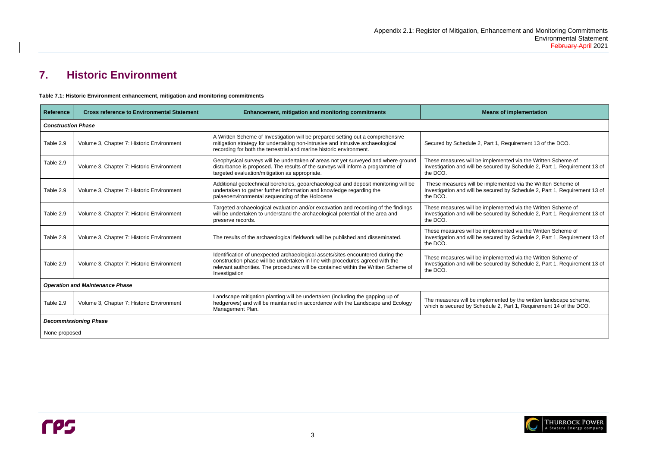#### **Pans of implementation**

art 1, Requirement 13 of the DCO.

nplemented via the Written Scheme of ecured by Schedule 2, Part 1, Requirement 13 of

mplemented via the Written Scheme of ecured by Schedule 2, Part 1, Requirement 13 of

nplemented via the Written Scheme of ecured by Schedule 2, Part 1, Requirement 13 of

nplemented via the Written Scheme of ecured by Schedule 2, Part 1, Requirement 13 of

nplemented via the Written Scheme of ecured by Schedule 2, Part 1, Requirement 13 of

lemented by the written landscape scheme, dule 2, Part 1, Requirement 14 of the DCO.



# <span id="page-5-0"></span>**7. Historic Environment**

<span id="page-5-1"></span>**Table 7.1: Historic Environment enhancement, mitigation and monitoring commitments** 

| <b>Reference</b>          | <b>Cross reference to Environmental Statement</b><br><b>Enhancement, mitigation and monitoring commitments</b> |                                                                                                                                                                                                                                                                          | Me                                                                    |
|---------------------------|----------------------------------------------------------------------------------------------------------------|--------------------------------------------------------------------------------------------------------------------------------------------------------------------------------------------------------------------------------------------------------------------------|-----------------------------------------------------------------------|
| <b>Construction Phase</b> |                                                                                                                |                                                                                                                                                                                                                                                                          |                                                                       |
| Table 2.9                 | Volume 3, Chapter 7: Historic Environment                                                                      | A Written Scheme of Investigation will be prepared setting out a comprehensive<br>mitigation strategy for undertaking non-intrusive and intrusive archaeological<br>recording for both the terrestrial and marine historic environment.                                  | Secured by Schedule 2, Pa                                             |
| Table 2.9                 | Volume 3, Chapter 7: Historic Environment                                                                      | Geophysical surveys will be undertaken of areas not yet surveyed and where ground<br>disturbance is proposed. The results of the surveys will inform a programme of<br>targeted evaluation/mitigation as appropriate.                                                    | These measures will be im<br>Investigation and will be se<br>the DCO. |
| Table 2.9                 | Volume 3, Chapter 7: Historic Environment                                                                      | Additional geotechnical boreholes, geoarchaeological and deposit monitoring will be<br>undertaken to gather further information and knowledge regarding the<br>palaeoenvironmental sequencing of the Holocene                                                            | These measures will be in<br>Investigation and will be se<br>the DCO. |
| Table 2.9                 | Volume 3, Chapter 7: Historic Environment                                                                      | Targeted archaeological evaluation and/or excavation and recording of the findings<br>will be undertaken to understand the archaeological potential of the area and<br>preserve records.                                                                                 | These measures will be im<br>Investigation and will be se<br>the DCO. |
| Table 2.9                 | Volume 3, Chapter 7: Historic Environment                                                                      | The results of the archaeological fieldwork will be published and disseminated.                                                                                                                                                                                          | These measures will be im<br>Investigation and will be se<br>the DCO. |
| Table 2.9                 | Volume 3, Chapter 7: Historic Environment                                                                      | Identification of unexpected archaeological assets/sites encountered during the<br>construction phase will be undertaken in line with procedures agreed with the<br>relevant authorities. The procedures will be contained within the Written Scheme of<br>Investigation | These measures will be im<br>Investigation and will be se<br>the DCO. |
|                           | <b>Operation and Maintenance Phase</b>                                                                         |                                                                                                                                                                                                                                                                          |                                                                       |
| Table 2.9                 | Volume 3, Chapter 7: Historic Environment                                                                      | Landscape mitigation planting will be undertaken (including the gapping up of<br>hedgerows) and will be maintained in accordance with the Landscape and Ecology<br>Management Plan.                                                                                      | The measures will be imple<br>which is secured by Sched               |
|                           | <b>Decommissioning Phase</b>                                                                                   |                                                                                                                                                                                                                                                                          |                                                                       |
| None proposed             |                                                                                                                |                                                                                                                                                                                                                                                                          |                                                                       |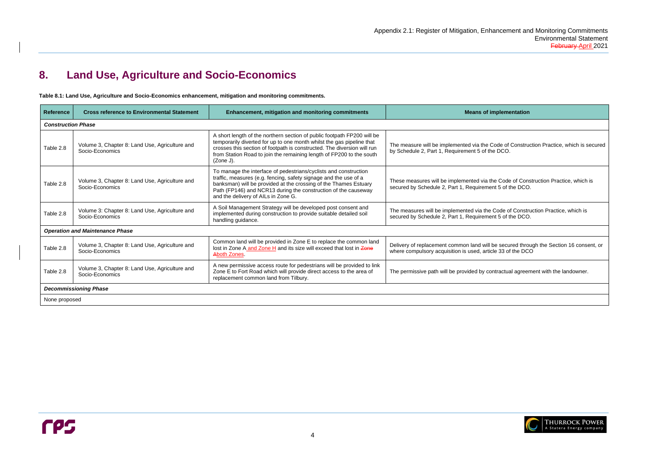Code of Construction Practice, which is secured the DCO.

the Code of Construction Practice, which is ent 5 of the DCO.

e Code of Construction Practice, which is ent 5 of the DCO.

I be secured through the Section 16 consent, or ticle 33 of the DCO $\overline{ }$ 

contractual agreement with the landowner.



# <span id="page-6-0"></span>**8. Land Use, Agriculture and Socio-Economics**

<span id="page-6-1"></span>**Table 8.1: Land Use, Agriculture and Socio-Economics enhancement, mitigation and monitoring commitments.**

| <b>Reference</b>          | <b>Cross reference to Environmental Statement</b>                 | <b>Enhancement, mitigation and monitoring commitments</b>                                                                                                                                                                                                                                                         | <b>Means of implementation</b>                                                                                         |
|---------------------------|-------------------------------------------------------------------|-------------------------------------------------------------------------------------------------------------------------------------------------------------------------------------------------------------------------------------------------------------------------------------------------------------------|------------------------------------------------------------------------------------------------------------------------|
| <b>Construction Phase</b> |                                                                   |                                                                                                                                                                                                                                                                                                                   |                                                                                                                        |
| Table 2.8                 | Volume 3, Chapter 8: Land Use, Agriculture and<br>Socio-Economics | A short length of the northern section of public footpath FP200 will be<br>temporarily diverted for up to one month whilst the gas pipeline that<br>crosses this section of footpath is constructed. The diversion will run<br>from Station Road to join the remaining length of FP200 to the south<br>(Zone J).  | The measure will be implemented via the Code of Constru<br>by Schedule 2, Part 1, Requirement 5 of the DCO.            |
| Table 2.8                 | Volume 3, Chapter 8: Land Use, Agriculture and<br>Socio-Economics | To manage the interface of pedestrians/cyclists and construction<br>traffic, measures (e.g. fencing, safety signage and the use of a<br>banksman) will be provided at the crossing of the Thames Estuary<br>Path (FP146) and NCR13 during the construction of the causeway<br>and the delivery of AILs in Zone G. | These measures will be implemented via the Code of Con<br>secured by Schedule 2, Part 1, Requirement 5 of the DCO      |
| Table 2.8                 | Volume 3: Chapter 8: Land Use, Agriculture and<br>Socio-Economics | A Soil Management Strategy will be developed post consent and<br>implemented during construction to provide suitable detailed soil<br>handling guidance.                                                                                                                                                          | The measures will be implemented via the Code of Constr<br>secured by Schedule 2, Part 1, Requirement 5 of the DCO     |
|                           | <b>Operation and Maintenance Phase</b>                            |                                                                                                                                                                                                                                                                                                                   |                                                                                                                        |
| Table 2.8                 | Volume 3, Chapter 8: Land Use, Agriculture and<br>Socio-Economics | Common land will be provided in Zone E to replace the common land<br>lost in Zone A and Zone H and its size will exceed that lost in Zone<br>Aboth Zones.                                                                                                                                                         | Delivery of replacement common land will be secured thro<br>where compulsory acquisition is used, article 33 of the DC |
| Table 2.8                 | Volume 3, Chapter 8: Land Use, Agriculture and<br>Socio-Economics | A new permissive access route for pedestrians will be provided to link<br>Zone E to Fort Road which will provide direct access to the area of<br>replacement common land from Tilbury.                                                                                                                            | The permissive path will be provided by contractual agreer                                                             |
|                           | <b>Decommissioning Phase</b>                                      |                                                                                                                                                                                                                                                                                                                   |                                                                                                                        |
| None proposed             |                                                                   |                                                                                                                                                                                                                                                                                                                   |                                                                                                                        |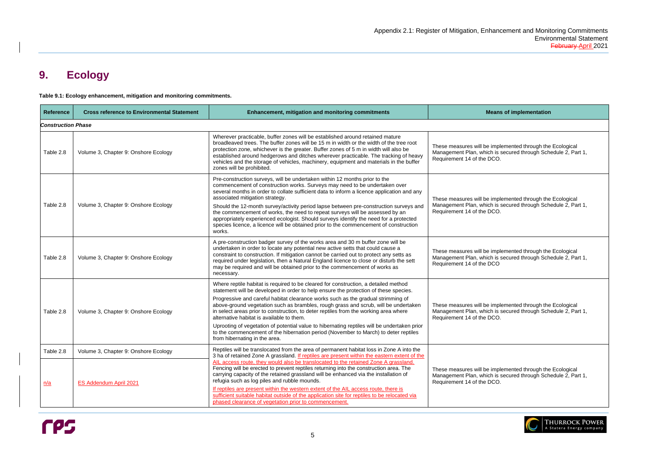# <span id="page-7-0"></span>**9. Ecology**

<span id="page-7-1"></span>**Table 9.1: Ecology enhancement, mitigation and monitoring commitments.**



| <b>Reference</b>          | <b>Cross reference to Environmental Statement</b>              | <b>Enhancement, mitigation and monitoring commitments</b>                                                                                                                                                                                                                                                                                                                                                                                                                                                                                                                                                                                                                                                                                                       | <b>Means of implementation</b>                                                                                                |
|---------------------------|----------------------------------------------------------------|-----------------------------------------------------------------------------------------------------------------------------------------------------------------------------------------------------------------------------------------------------------------------------------------------------------------------------------------------------------------------------------------------------------------------------------------------------------------------------------------------------------------------------------------------------------------------------------------------------------------------------------------------------------------------------------------------------------------------------------------------------------------|-------------------------------------------------------------------------------------------------------------------------------|
| <b>Construction Phase</b> |                                                                |                                                                                                                                                                                                                                                                                                                                                                                                                                                                                                                                                                                                                                                                                                                                                                 |                                                                                                                               |
| Table 2.8                 | Volume 3, Chapter 9: Onshore Ecology                           | Wherever practicable, buffer zones will be established around retained mature<br>broadleaved trees. The buffer zones will be 15 m in width or the width of the tree root<br>protection zone, whichever is the greater. Buffer zones of 5 m in width will also be<br>established around hedgerows and ditches wherever practicable. The tracking of heavy<br>vehicles and the storage of vehicles, machinery, equipment and materials in the buffer<br>zones will be prohibited.                                                                                                                                                                                                                                                                                 | These measures will be implemented through the<br>Management Plan, which is secured through Sch<br>Requirement 14 of the DCO. |
| Table 2.8                 | Volume 3, Chapter 9: Onshore Ecology                           | Pre-construction surveys, will be undertaken within 12 months prior to the<br>commencement of construction works. Surveys may need to be undertaken over<br>several months in order to collate sufficient data to inform a licence application and any<br>associated mitigation strategy.<br>Should the 12-month survey/activity period lapse between pre-construction surveys and<br>the commencement of works, the need to repeat surveys will be assessed by an<br>appropriately experienced ecologist. Should surveys identify the need for a protected<br>species licence, a licence will be obtained prior to the commencement of construction<br>works.                                                                                                  | These measures will be implemented through the<br>Management Plan, which is secured through Sch<br>Requirement 14 of the DCO. |
| Table 2.8                 | Volume 3, Chapter 9: Onshore Ecology                           | A pre-construction badger survey of the works area and 30 m buffer zone will be<br>undertaken in order to locate any potential new active setts that could cause a<br>constraint to construction. If mitigation cannot be carried out to protect any setts as<br>required under legislation, then a Natural England licence to close or disturb the sett<br>may be required and will be obtained prior to the commencement of works as<br>necessary.                                                                                                                                                                                                                                                                                                            | These measures will be implemented through the<br>Management Plan, which is secured through Sch<br>Requirement 14 of the DCO  |
| Table 2.8                 | Volume 3, Chapter 9: Onshore Ecology                           | Where reptile habitat is required to be cleared for construction, a detailed method<br>statement will be developed in order to help ensure the protection of these species.<br>Progressive and careful habitat clearance works such as the gradual strimming of<br>above-ground vegetation such as brambles, rough grass and scrub, will be undertaken<br>in select areas prior to construction, to deter reptiles from the working area where<br>alternative habitat is available to them.<br>Uprooting of vegetation of potential value to hibernating reptiles will be undertaken prior<br>to the commencement of the hibernation period (November to March) to deter reptiles<br>from hibernating in the area.                                              | These measures will be implemented through the<br>Management Plan, which is secured through Sch<br>Requirement 14 of the DCO. |
| Table 2.8<br><u>n/a</u>   | Volume 3, Chapter 9: Onshore Ecology<br>ES Addendum April 2021 | Reptiles will be translocated from the area of permanent habitat loss in Zone A into the<br>3 ha of retained Zone A grassland. If reptiles are present within the eastern extent of the<br>AIL access route, they would also be translocated to the retained Zone A grassland.<br>Fencing will be erected to prevent reptiles returning into the construction area. The<br>carrying capacity of the retained grassland will be enhanced via the installation of<br>refugia such as log piles and rubble mounds.<br>If reptiles are present within the western extent of the AIL access route, there is<br>sufficient suitable habitat outside of the application site for reptiles to be relocated via<br>phased clearance of vegetation prior to commencement. | These measures will be implemented through the<br>Management Plan, which is secured through Sch<br>Requirement 14 of the DCO. |

| <b>Means of implementation</b>                                                                                                                           |  |  |  |  |
|----------------------------------------------------------------------------------------------------------------------------------------------------------|--|--|--|--|
|                                                                                                                                                          |  |  |  |  |
| These measures will be implemented through the Ecological<br>Management Plan, which is secured through Schedule 2, Part 1,<br>Requirement 14 of the DCO. |  |  |  |  |
| These measures will be implemented through the Ecological<br>Management Plan, which is secured through Schedule 2, Part 1,<br>Requirement 14 of the DCO. |  |  |  |  |
| These measures will be implemented through the Ecological<br>Management Plan, which is secured through Schedule 2, Part 1,<br>Requirement 14 of the DCO  |  |  |  |  |
| These measures will be implemented through the Ecological<br>Management Plan, which is secured through Schedule 2, Part 1,<br>Requirement 14 of the DCO. |  |  |  |  |
| These measures will be implemented through the Ecological<br>Management Plan, which is secured through Schedule 2, Part 1,<br>Requirement 14 of the DCO. |  |  |  |  |

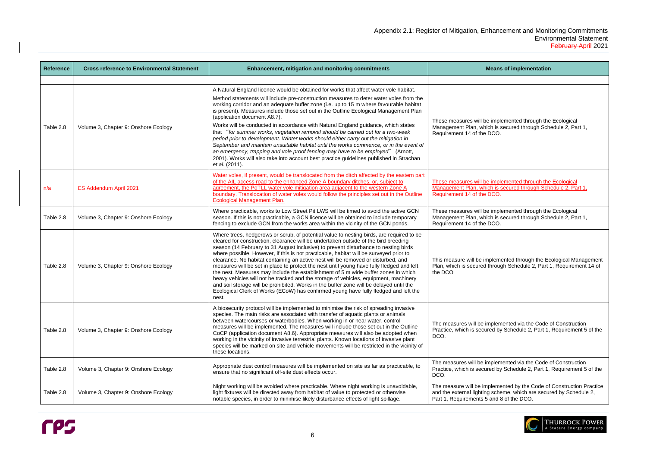| <b>Reference</b> | <b>Cross reference to Environmental Statement</b> | Enhancement, mitigation and monitoring commitments                                                                                                                                                                                                                                                                                                                                                                                                                                                                                                                                                                                                                                                                                                                                                                                                                                                                                                          | <b>Means of implementation</b>                                                                                                                  |
|------------------|---------------------------------------------------|-------------------------------------------------------------------------------------------------------------------------------------------------------------------------------------------------------------------------------------------------------------------------------------------------------------------------------------------------------------------------------------------------------------------------------------------------------------------------------------------------------------------------------------------------------------------------------------------------------------------------------------------------------------------------------------------------------------------------------------------------------------------------------------------------------------------------------------------------------------------------------------------------------------------------------------------------------------|-------------------------------------------------------------------------------------------------------------------------------------------------|
|                  |                                                   |                                                                                                                                                                                                                                                                                                                                                                                                                                                                                                                                                                                                                                                                                                                                                                                                                                                                                                                                                             |                                                                                                                                                 |
| Table 2.8        | Volume 3, Chapter 9: Onshore Ecology              | A Natural England licence would be obtained for works that affect water vole habitat.<br>Method statements will include pre-construction measures to deter water voles from the<br>working corridor and an adequate buffer zone (i.e. up to 15 m where favourable habitat<br>is present). Measures include those set out in the Outline Ecological Management Plan<br>(application document A8.7).<br>Works will be conducted in accordance with Natural England guidance, which states<br>that "for summer works, vegetation removal should be carried out for a two-week<br>period prior to development. Winter works should either carry out the mitigation in<br>September and maintain unsuitable habitat until the works commence, or in the event of<br>an emergency, trapping and vole proof fencing may have to be employed" (Arnott,<br>2001). Works will also take into account best practice guidelines published in Strachan<br>et al. (2011). | These measures will be implemented through the<br>Management Plan, which is secured through Sch<br>Requirement 14 of the DCO.                   |
| <u>n/a</u>       | ES Addendum April 2021                            | Water voles, if present, would be translocated from the ditch affected by the eastern part<br>of the AIL access road to the enhanced Zone A boundary ditches, or, subject to<br>agreement, the PoTLL water vole mitigation area adjacent to the western Zone A<br>boundary. Translocation of water voles would follow the principles set out in the Outline<br><b>Ecological Management Plan.</b>                                                                                                                                                                                                                                                                                                                                                                                                                                                                                                                                                           | These measures will be implemented through the<br>Management Plan, which is secured through Sch<br>Requirement 14 of the DCO.                   |
| Table 2.8        | Volume 3, Chapter 9: Onshore Ecology              | Where practicable, works to Low Street Pit LWS will be timed to avoid the active GCN<br>season. If this is not practicable, a GCN licence will be obtained to include temporary<br>fencing to exclude GCN from the works area within the vicinity of the GCN ponds.                                                                                                                                                                                                                                                                                                                                                                                                                                                                                                                                                                                                                                                                                         | These measures will be implemented through the<br>Management Plan, which is secured through Sch<br>Requirement 14 of the DCO.                   |
| Table 2.8        | Volume 3, Chapter 9: Onshore Ecology              | Where trees, hedgerows or scrub, of potential value to nesting birds, are required to be<br>cleared for construction, clearance will be undertaken outside of the bird breeding<br>season (14 February to 31 August inclusive) to prevent disturbance to nesting birds<br>where possible. However, if this is not practicable, habitat will be surveyed prior to<br>clearance. No habitat containing an active nest will be removed or disturbed, and<br>measures will be set in place to protect the nest until young have fully fledged and left<br>the nest. Measures may include the establishment of 5 m wide buffer zones in which<br>heavy vehicles will not be tracked and the storage of vehicles, equipment, machinery<br>and soil storage will be prohibited. Works in the buffer zone will be delayed until the<br>Ecological Clerk of Works (ECoW) has confirmed young have fully fledged and left the<br>nest.                                | This measure will be implemented through the Ed<br>Plan, which is secured through Schedule 2, Part<br>the DCO                                   |
| Table 2.8        | Volume 3, Chapter 9: Onshore Ecology              | A biosecurity protocol will be implemented to minimise the risk of spreading invasive<br>species. The main risks are associated with transfer of aquatic plants or animals<br>between watercourses or waterbodies. When working in or near water, control<br>measures will be implemented. The measures will include those set out in the Outline<br>CoCP (application document A8.6). Appropriate measures will also be adopted when<br>working in the vicinity of invasive terrestrial plants. Known locations of invasive plant<br>species will be marked on site and vehicle movements will be restricted in the vicinity of<br>these locations.                                                                                                                                                                                                                                                                                                        | The measures will be implemented via the Code<br>Practice, which is secured by Schedule 2, Part 1,<br>DCO.                                      |
| Table 2.8        | Volume 3, Chapter 9: Onshore Ecology              | Appropriate dust control measures will be implemented on site as far as practicable, to<br>ensure that no significant off-site dust effects occur.                                                                                                                                                                                                                                                                                                                                                                                                                                                                                                                                                                                                                                                                                                                                                                                                          | The measures will be implemented via the Code<br>Practice, which is secured by Schedule 2, Part 1,<br>DCO.                                      |
| Table 2.8        | Volume 3, Chapter 9: Onshore Ecology              | Night working will be avoided where practicable. Where night working is unavoidable,<br>light fixtures will be directed away from habitat of value to protected or otherwise<br>notable species, in order to minimise likely disturbance effects of light spillage.                                                                                                                                                                                                                                                                                                                                                                                                                                                                                                                                                                                                                                                                                         | The measure will be implemented by the Code of<br>and the external lighting scheme, which are secul<br>Part 1, Requirements 5 and 8 of the DCO. |



| <b>Means of implementation</b>                                                                                                                                                         |  |  |  |
|----------------------------------------------------------------------------------------------------------------------------------------------------------------------------------------|--|--|--|
|                                                                                                                                                                                        |  |  |  |
| These measures will be implemented through the Ecological<br>Management Plan, which is secured through Schedule 2, Part 1,<br>Requirement 14 of the DCO.                               |  |  |  |
| These measures will be implemented through the Ecological<br>Management Plan, which is secured through Schedule 2, Part 1,<br>Requirement 14 of the DCO.                               |  |  |  |
| These measures will be implemented through the Ecological<br>Management Plan, which is secured through Schedule 2, Part 1,<br>Requirement 14 of the DCO.                               |  |  |  |
| This measure will be implemented through the Ecological Management<br>Plan, which is secured through Schedule 2, Part 1, Requirement 14 of<br>the DCO                                  |  |  |  |
| The measures will be implemented via the Code of Construction<br>Practice, which is secured by Schedule 2, Part 1, Requirement 5 of the<br>DCO.                                        |  |  |  |
| The measures will be implemented via the Code of Construction<br>Practice, which is secured by Schedule 2, Part 1, Requirement 5 of the<br>DCO.                                        |  |  |  |
| The measure will be implemented by the Code of Construction Practice<br>and the external lighting scheme, which are secured by Schedule 2,<br>Part 1, Requirements 5 and 8 of the DCO. |  |  |  |
|                                                                                                                                                                                        |  |  |  |

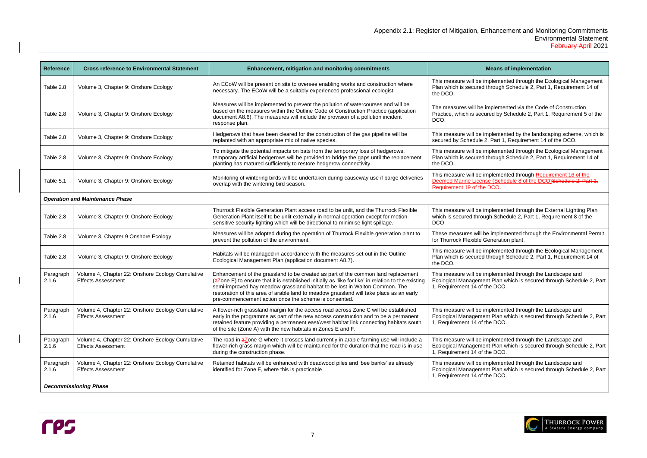#### **Reans of implementation**

plemented through the Ecological Management hrough Schedule 2, Part 1, Requirement 14 of

nplemented via the Code of Construction red by Schedule 2, Part 1, Requirement 5 of the

plemented by the landscaping scheme, which is Part 1, Requirement 14 of the DCO.

plemented through the Ecological Management hrough Schedule 2, Part 1, Requirement 14 of

plemented through <u>Requirement 16 of the</u> e (Schedule 8 of the DCO)Schedule 2, Part 1, DCO.

Iplemented through the External Lighting Plan gh Schedule 2, Part 1, Requirement 8 of the

implemented through the Environmental Permit eneration plant.

plemented through the Ecological Management hrough Schedule 2, Part 1, Requirement 14 of

nplemented through the Landscape and It Plan which is secured through Schedule 2, Part he DCO.

nplemented through the Landscape and It Plan which is secured through Schedule 2, Part he DCO.

plemented through the Landscape and It Plan which is secured through Schedule 2, Part ነe DCO.

plemented through the Landscape and It Plan which is secured through Schedule 2, Part 1e DCO.



| <b>Reference</b>   | <b>Cross reference to Environmental Statement</b>                             | <b>Enhancement, mitigation and monitoring commitments</b>                                                                                                                                                                                                                                                                                                                                                                   |                                                                                   |
|--------------------|-------------------------------------------------------------------------------|-----------------------------------------------------------------------------------------------------------------------------------------------------------------------------------------------------------------------------------------------------------------------------------------------------------------------------------------------------------------------------------------------------------------------------|-----------------------------------------------------------------------------------|
| Table 2.8          | Volume 3, Chapter 9: Onshore Ecology                                          | An ECoW will be present on site to oversee enabling works and construction where<br>necessary. The ECoW will be a suitably experienced professional ecologist.                                                                                                                                                                                                                                                              | This measure will be im<br>Plan which is secured tl<br>the DCO.                   |
| Table 2.8          | Volume 3, Chapter 9: Onshore Ecology                                          | Measures will be implemented to prevent the pollution of watercourses and will be<br>based on the measures within the Outline Code of Construction Practice (application<br>document A8.6). The measures will include the provision of a pollution incident<br>response plan.                                                                                                                                               | The measures will be in<br>Practice, which is secur<br>DCO.                       |
| Table 2.8          | Volume 3, Chapter 9: Onshore Ecology                                          | Hedgerows that have been cleared for the construction of the gas pipeline will be<br>replanted with an appropriate mix of native species.                                                                                                                                                                                                                                                                                   | This measure will be im<br>secured by Schedule 2,                                 |
| Table 2.8          | Volume 3, Chapter 9: Onshore Ecology                                          | This measure will be im<br>To mitigate the potential impacts on bats from the temporary loss of hedgerows,<br>temporary artificial hedgerows will be provided to bridge the gaps until the replacement<br>Plan which is secured tl<br>planting has matured sufficiently to restore hedgerow connectivity.<br>the DCO.                                                                                                       |                                                                                   |
| Table 5.1          | Volume 3, Chapter 9: Onshore Ecology                                          | Monitoring of wintering birds will be undertaken during causeway use if barge deliveries<br>overlap with the wintering bird season.                                                                                                                                                                                                                                                                                         | This measure will be im<br><b>Deemed Marine Licens</b><br>Requirement 19 of the I |
|                    | <b>Operation and Maintenance Phase</b>                                        |                                                                                                                                                                                                                                                                                                                                                                                                                             |                                                                                   |
| Table 2.8          | Volume 3, Chapter 9: Onshore Ecology                                          | Thurrock Flexible Generation Plant access road to be unlit, and the Thurrock Flexible<br>Generation Plant itself to be unlit externally in normal operation except for motion-<br>sensitive security lighting which will be directional to minimise light spillage.                                                                                                                                                         | This measure will be im<br>which is secured throug<br>DCO.                        |
| Table 2.8          | Volume 3, Chapter 9 Onshore Ecology                                           | Measures will be adopted during the operation of Thurrock Flexible generation plant to<br>prevent the pollution of the environment.                                                                                                                                                                                                                                                                                         | These measures will be<br>for Thurrock Flexible Ge                                |
| Table 2.8          | Volume 3, Chapter 9: Onshore Ecology                                          | Habitats will be managed in accordance with the measures set out in the Outline<br>Ecological Management Plan (application document A8.7).                                                                                                                                                                                                                                                                                  | This measure will be im<br>Plan which is secured tl<br>the DCO.                   |
| Paragraph<br>2.1.6 | Volume 4, Chapter 22: Onshore Ecology Cumulative<br><b>Effects Assessment</b> | Enhancement of the grassland to be created as part of the common land replacement<br>(zZone E) to ensure that it is established initially as 'like for like' in relation to the existing<br>semi-improved hay meadow grassland habitat to be lost in Walton Common. The<br>restoration of this area of arable land to meadow grassland will take place as an early<br>pre-commencement action once the scheme is consented. | This measure will be im<br><b>Ecological Managemen</b><br>1, Requirement 14 of th |
| Paragraph<br>2.1.6 | Volume 4, Chapter 22: Onshore Ecology Cumulative<br><b>Effects Assessment</b> | A flower-rich grassland margin for the access road across Zone C will be established<br>early in the programme as part of the new access construction and to be a permanent<br>retained feature providing a permanent east/west habitat link connecting habitats south<br>of the site (Zone A) with the new habitats in Zones E and F.                                                                                      | This measure will be im<br>Ecological Managemen<br>1, Requirement 14 of th        |
| Paragraph<br>2.1.6 | Volume 4, Chapter 22: Onshore Ecology Cumulative<br><b>Effects Assessment</b> | The road in <b>z</b> Zone G where it crosses land currently in arable farming use will include a<br>flower-rich grass margin which will be maintained for the duration that the road is in use<br>during the construction phase.                                                                                                                                                                                            | This measure will be im<br><b>Ecological Managemen</b><br>1, Requirement 14 of th |
| Paragraph<br>2.1.6 | Volume 4, Chapter 22: Onshore Ecology Cumulative<br><b>Effects Assessment</b> | Retained habitats will be enhanced with deadwood piles and 'bee banks' as already<br>identified for Zone F, where this is practicable                                                                                                                                                                                                                                                                                       | This measure will be im<br><b>Ecological Managemen</b><br>1, Requirement 14 of th |
|                    | <b>Decommissioning Phase</b>                                                  |                                                                                                                                                                                                                                                                                                                                                                                                                             |                                                                                   |

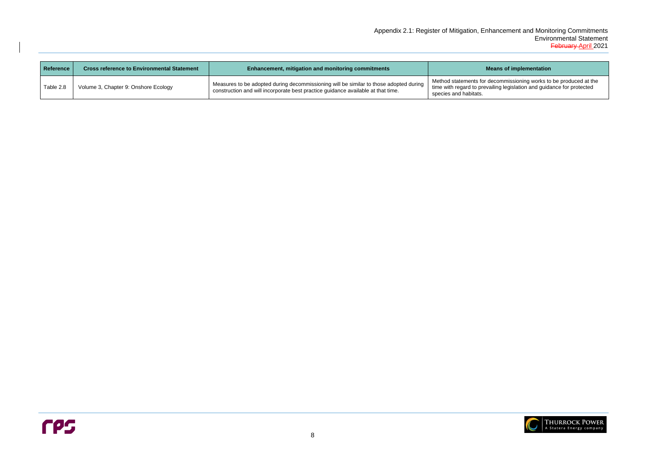#### **Reans of implementation**

| <b>Reference</b> | <b>Cross reference to Environmental Statement</b> | <b>Enhancement, mitigation and monitoring commitments</b>                                                                                                                 | М                                                                             |
|------------------|---------------------------------------------------|---------------------------------------------------------------------------------------------------------------------------------------------------------------------------|-------------------------------------------------------------------------------|
| Table 2.8        | Volume 3, Chapter 9: Onshore Ecology              | Measures to be adopted during decommissioning will be similar to those adopted during<br>construction and will incorporate best practice guidance available at that time. | Method statements for d<br>time with regard to preva<br>species and habitats. |

Method statements for decommissioning works to be produced at the time with regard to prevailing legislation and guidance for protected

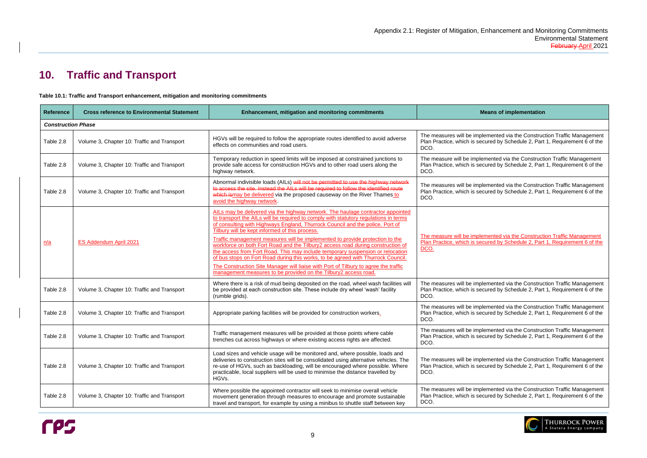#### **Reference to Enginentation**

**Imented via the Construction Traffic Management** ured by Schedule 2, Part 1, Requirement 6 of the

mented via the Construction Traffic Management ured by Schedule 2, Part 1, Requirement 6 of the

mented via the Construction Traffic Management ured by Schedule 2, Part 1, Requirement  $6$  of the

mented via the Construction Traffic Management ured by Schedule 2, Part 1, Requirement 6 of the

emented via the Construction Traffic Management ured by Schedule 2, Part 1, Requirement  $\tilde{6}$  of the

emented via the Construction Traffic Management ured by Schedule 2, Part 1, Requirement  $6$  of the

emented via the Construction Traffic Management ured by Schedule 2, Part 1, Requirement  $\tilde{6}$  of the

emented via the Construction Traffic Management ured by Schedule 2, Part 1, Requirement  $\tilde{6}$  of the

mented via the Construction Traffic Management ured by Schedule 2, Part 1, Requirement  $6$  of the



# <span id="page-11-0"></span>**10. Traffic and Transport**

<span id="page-11-1"></span>**Table 10.1: Traffic and Transport enhancement, mitigation and monitoring commitments**



| <b>Reference</b>          | <b>Cross reference to Environmental Statement</b>                                                                                                                           | <b>Enhancement, mitigation and monitoring commitments</b>                                                                                                                                                                                                                                                                                           |                                                                    |
|---------------------------|-----------------------------------------------------------------------------------------------------------------------------------------------------------------------------|-----------------------------------------------------------------------------------------------------------------------------------------------------------------------------------------------------------------------------------------------------------------------------------------------------------------------------------------------------|--------------------------------------------------------------------|
| <b>Construction Phase</b> |                                                                                                                                                                             |                                                                                                                                                                                                                                                                                                                                                     |                                                                    |
| Table 2.8                 | HGVs will be required to follow the appropriate routes identified to avoid adverse<br>Volume 3, Chapter 10: Traffic and Transport<br>effects on communities and road users. |                                                                                                                                                                                                                                                                                                                                                     | The measures will be imple<br>Plan Practice, which is secu<br>DCO. |
| Table 2.8                 | Volume 3, Chapter 10: Traffic and Transport                                                                                                                                 | Temporary reduction in speed limits will be imposed at constrained junctions to<br>provide safe access for construction HGVs and to other road users along the<br>highway network.                                                                                                                                                                  | The measure will be implen<br>Plan Practice, which is secu<br>DCO. |
| Table 2.8                 | Volume 3, Chapter 10: Traffic and Transport                                                                                                                                 | Abnormal indivisible loads (AILs) will not be permitted to use the highway network<br>to access the site. Instead the AILs will be required to follow the identified route<br>which ismay be delivered via the proposed causeway on the River Thames to<br>avoid the highway network.                                                               | The measures will be imple<br>Plan Practice, which is secu<br>DCO. |
|                           |                                                                                                                                                                             | AILs may be delivered via the highway network. The haulage contractor appointed<br>to transport the AILs will be required to comply with statutory regulations in terms<br>of consulting with Highways England, Thurrock Council and the police. Port of<br>Tilbury will be kept informed of this process.                                          | The measure will be implen<br>Plan Practice, which is secu<br>DCO. |
| n/a                       | <b>ES Addendum April 2021</b>                                                                                                                                               | Traffic management measures will be implemented to provide protection to the<br>workforce on both Fort Road and the Tilbury2 access road during construction of<br>the access from Fort Road. This may include temporary suspension or relocation<br>of bus stops on Fort Road during this works, to be agreed with Thurrock Council.               |                                                                    |
|                           |                                                                                                                                                                             | The Construction Site Manager will liaise with Port of Tilbury to agree the traffic<br>management measures to be provided on the Tilbury2 access road.                                                                                                                                                                                              |                                                                    |
| Table 2.8                 | Volume 3, Chapter 10: Traffic and Transport                                                                                                                                 | Where there is a risk of mud being deposited on the road, wheel wash facilities will<br>be provided at each construction site. These include dry wheel 'wash' facility<br>(rumble grids).                                                                                                                                                           | The measures will be imple<br>Plan Practice, which is secu<br>DCO. |
| Table 2.8                 | Volume 3, Chapter 10: Traffic and Transport                                                                                                                                 | Appropriate parking facilities will be provided for construction workers.                                                                                                                                                                                                                                                                           | The measures will be imple<br>Plan Practice, which is secu<br>DCO. |
| Table 2.8                 | Volume 3, Chapter 10: Traffic and Transport                                                                                                                                 | Traffic management measures will be provided at those points where cable<br>trenches cut across highways or where existing access rights are affected.                                                                                                                                                                                              | The measures will be imple<br>Plan Practice, which is secu<br>DCO. |
| Table 2.8                 | Volume 3, Chapter 10: Traffic and Transport                                                                                                                                 | Load sizes and vehicle usage will be monitored and, where possible, loads and<br>deliveries to construction sites will be consolidated using alternative vehicles. The<br>re-use of HGVs, such as backloading, will be encouraged where possible. Where<br>practicable, local suppliers will be used to minimise the distance travelled by<br>HGVs. | The measures will be imple<br>Plan Practice, which is secu<br>DCO. |
| Table 2.8                 | Volume 3, Chapter 10: Traffic and Transport                                                                                                                                 | Where possible the appointed contractor will seek to minimise overall vehicle<br>movement generation through measures to encourage and promote sustainable<br>travel and transport, for example by using a minibus to shuttle staff between key                                                                                                     | The measures will be imple<br>Plan Practice, which is secu<br>DCO. |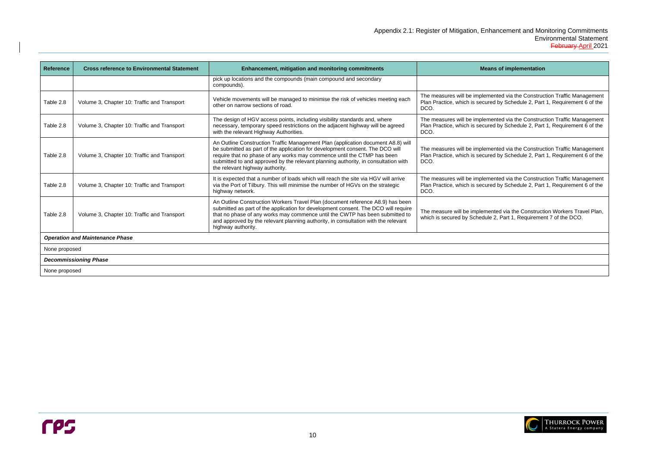#### **Reference in Engineer is an Sof implementation**

nented via the Construction Traffic Management red by Schedule 2, Part 1, Requirement 6 of the

nented via the Construction Traffic Management red by Schedule 2, Part 1, Requirement 6 of the

| <b>Reference</b> | <b>Cross reference to Environmental Statement</b> | Enhancement, mitigation and monitoring commitments                                                                                                                                                                                                                                                                                                                                                                                            | Mea                                                                  |  |
|------------------|---------------------------------------------------|-----------------------------------------------------------------------------------------------------------------------------------------------------------------------------------------------------------------------------------------------------------------------------------------------------------------------------------------------------------------------------------------------------------------------------------------------|----------------------------------------------------------------------|--|
|                  |                                                   | pick up locations and the compounds (main compound and secondary<br>compounds).                                                                                                                                                                                                                                                                                                                                                               |                                                                      |  |
| Table 2.8        | Volume 3, Chapter 10: Traffic and Transport       | Vehicle movements will be managed to minimise the risk of vehicles meeting each<br>other on narrow sections of road.                                                                                                                                                                                                                                                                                                                          | The measures will be implen<br>Plan Practice, which is secur<br>DCO. |  |
| Table 2.8        | Volume 3, Chapter 10: Traffic and Transport       | The design of HGV access points, including visibility standards and, where<br>necessary, temporary speed restrictions on the adjacent highway will be agreed<br>with the relevant Highway Authorities.                                                                                                                                                                                                                                        | The measures will be implen<br>Plan Practice, which is secur<br>DCO. |  |
| Table 2.8        | Volume 3, Chapter 10: Traffic and Transport       | An Outline Construction Traffic Management Plan (application document A8.8) will<br>be submitted as part of the application for development consent. The DCO will<br>The measures will be implen<br>require that no phase of any works may commence until the CTMP has been<br>Plan Practice, which is secur<br>submitted to and approved by the relevant planning authority, in consultation with<br>DCO.<br>the relevant highway authority. |                                                                      |  |
| Table 2.8        | Volume 3, Chapter 10: Traffic and Transport       | It is expected that a number of loads which will reach the site via HGV will arrive<br>via the Port of Tilbury. This will minimise the number of HGVs on the strategic<br>highway network.                                                                                                                                                                                                                                                    | The measures will be implen<br>Plan Practice, which is secur<br>DCO. |  |
| Table 2.8        | Volume 3, Chapter 10: Traffic and Transport       | An Outline Construction Workers Travel Plan (document reference A8.9) has been<br>submitted as part of the application for development consent. The DCO will require<br>that no phase of any works may commence until the CWTP has been submitted to<br>and approved by the relevant planning authority, in consultation with the relevant<br>highway authority.                                                                              | The measure will be implem<br>which is secured by Schedul            |  |
|                  | <b>Operation and Maintenance Phase</b>            |                                                                                                                                                                                                                                                                                                                                                                                                                                               |                                                                      |  |
| None proposed    |                                                   |                                                                                                                                                                                                                                                                                                                                                                                                                                               |                                                                      |  |
|                  | <b>Decommissioning Phase</b>                      |                                                                                                                                                                                                                                                                                                                                                                                                                                               |                                                                      |  |
| None proposed    |                                                   |                                                                                                                                                                                                                                                                                                                                                                                                                                               |                                                                      |  |

The measures will be implemented via the Construction Traffic Management Plan Practice, which is secured by Schedule 2, Part 1, Requirement 6 of the

> nented via the Construction Traffic Management red by Schedule 2, Part 1, Requirement  $6$  of the

ented via the Construction Workers Travel Plan, lle 2, Part 1, Requirement 7 of the DCO.

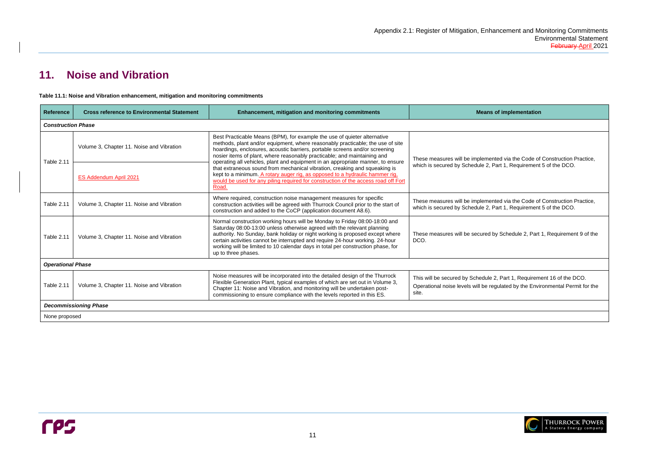# **Reference incontal Enginementation** Iemented via the Code of Construction Practice, lle 2, Part 1, Requirement 5 of the DCO. Iemented via the Code of Construction Practice, le 2, Part 1, Requirement 5 of the DCO. ured by Schedule 2, Part 1, Requirement 9 of the edule 2, Part 1, Requirement 16 of the DCO. be regulated by the Environmental Permit for the



# <span id="page-13-0"></span>**11. Noise and Vibration**

<span id="page-13-1"></span>**Table 11.1: Noise and Vibration enhancement, mitigation and monitoring commitments**



| <b>Reference</b>          | <b>Cross reference to Environmental Statement</b> | <b>Enhancement, mitigation and monitoring commitments</b>                                                                                                                                                                                                                                                                                                                                                                         | M <sub>0</sub>                                                         |
|---------------------------|---------------------------------------------------|-----------------------------------------------------------------------------------------------------------------------------------------------------------------------------------------------------------------------------------------------------------------------------------------------------------------------------------------------------------------------------------------------------------------------------------|------------------------------------------------------------------------|
| <b>Construction Phase</b> |                                                   |                                                                                                                                                                                                                                                                                                                                                                                                                                   |                                                                        |
|                           | Volume 3, Chapter 11. Noise and Vibration         | Best Practicable Means (BPM), for example the use of quieter alternative<br>methods, plant and/or equipment, where reasonably practicable; the use of site<br>hoardings, enclosures, acoustic barriers, portable screens and/or screening<br>nosier items of plant, where reasonably practicable; and maintaining and                                                                                                             | These measures will be impl<br>which is secured by Schedul             |
| <b>Table 2.11</b>         | <b>ES Addendum April 2021</b>                     | operating all vehicles, plant and equipment in an appropriate manner, to ensure<br>that extraneous sound from mechanical vibration, creaking and squeaking is<br>kept to a minimum. A rotary auger rig, as opposed to a hydraulic hammer rig.<br>would be used for any piling required for construction of the access road off Fort<br>Road.                                                                                      |                                                                        |
| <b>Table 2.11</b>         | Volume 3, Chapter 11. Noise and Vibration         | Where required, construction noise management measures for specific<br>construction activities will be agreed with Thurrock Council prior to the start of<br>construction and added to the CoCP (application document A8.6).                                                                                                                                                                                                      | These measures will be impl<br>which is secured by Schedul             |
| <b>Table 2.11</b>         | Volume 3, Chapter 11. Noise and Vibration         | Normal construction working hours will be Monday to Friday 08:00-18:00 and<br>Saturday 08:00-13:00 unless otherwise agreed with the relevant planning<br>authority. No Sunday, bank holiday or night working is proposed except where<br>certain activities cannot be interrupted and require 24-hour working. 24-hour<br>working will be limited to 10 calendar days in total per construction phase, for<br>up to three phases. | These measures will be secu<br>DCO.                                    |
| <b>Operational Phase</b>  |                                                   |                                                                                                                                                                                                                                                                                                                                                                                                                                   |                                                                        |
| Table 2.11                | Volume 3, Chapter 11. Noise and Vibration         | Noise measures will be incorporated into the detailed design of the Thurrock<br>Flexible Generation Plant, typical examples of which are set out in Volume 3,<br>Chapter 11: Noise and Vibration, and monitoring will be undertaken post-<br>commissioning to ensure compliance with the levels reported in this ES.                                                                                                              | This will be secured by Sche<br>Operational noise levels will<br>site. |
|                           | <b>Decommissioning Phase</b>                      |                                                                                                                                                                                                                                                                                                                                                                                                                                   |                                                                        |
|                           | None proposed                                     |                                                                                                                                                                                                                                                                                                                                                                                                                                   |                                                                        |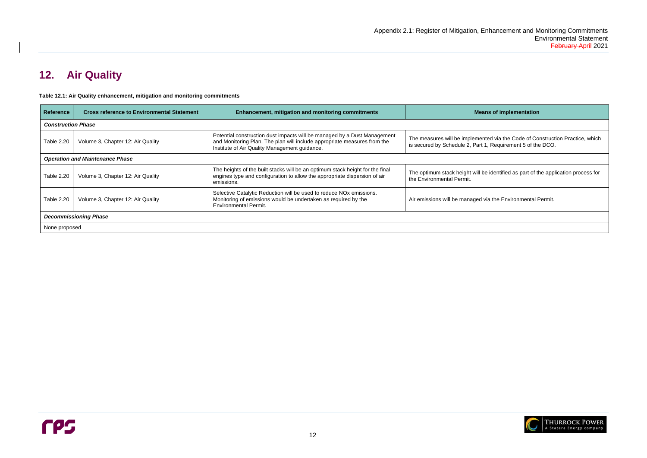**Referentation** 

ted via the Code of Construction Practice, which Is the arc secured by Schedule 2, Part 1, 2016

 $\mathbf s$  identified as part of the application process for

ia the Environmental Permit.



# <span id="page-14-0"></span>**12. Air Quality**

<span id="page-14-1"></span>

| Table 12.1: Air Quality enhancement, mitigation and monitoring commitments |  |  |  |
|----------------------------------------------------------------------------|--|--|--|
|----------------------------------------------------------------------------|--|--|--|

| <b>Reference</b>          | <b>Cross reference to Environmental Statement</b> | <b>Enhancement, mitigation and monitoring commitments</b>                                                                                                                                             | <b>Mean</b>                                                        |
|---------------------------|---------------------------------------------------|-------------------------------------------------------------------------------------------------------------------------------------------------------------------------------------------------------|--------------------------------------------------------------------|
| <b>Construction Phase</b> |                                                   |                                                                                                                                                                                                       |                                                                    |
| Table 2.20                | Volume 3, Chapter 12: Air Quality                 | Potential construction dust impacts will be managed by a Dust Management<br>and Monitoring Plan. The plan will include appropriate measures from the<br>Institute of Air Quality Management guidance. | The measures will be implement<br>is secured by Schedule 2, Part 1 |
|                           | <b>Operation and Maintenance Phase</b>            |                                                                                                                                                                                                       |                                                                    |
| Table 2.20                | Volume 3, Chapter 12: Air Quality                 | The heights of the built stacks will be an optimum stack height for the final<br>engines type and configuration to allow the appropriate dispersion of air<br>emissions.                              | The optimum stack height will be<br>the Environmental Permit.      |
| Table 2.20                | Volume 3, Chapter 12: Air Quality                 | Selective Catalytic Reduction will be used to reduce NO <sub>x</sub> emissions.<br>Monitoring of emissions would be undertaken as required by the<br><b>Environmental Permit.</b>                     | Air emissions will be managed vi                                   |
|                           | <b>Decommissioning Phase</b>                      |                                                                                                                                                                                                       |                                                                    |
| None proposed             |                                                   |                                                                                                                                                                                                       |                                                                    |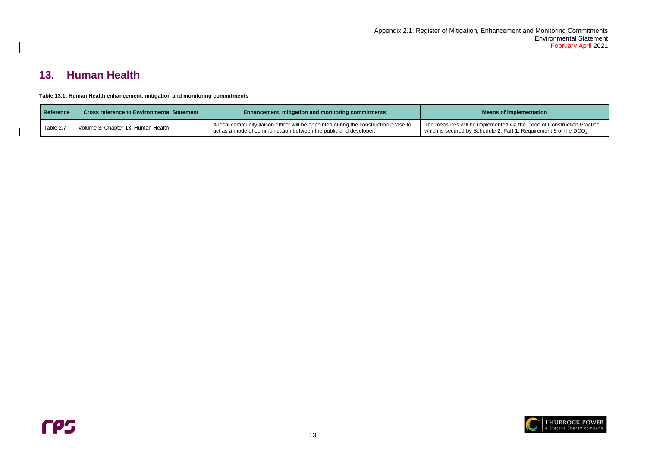**Reference in Engineer is also conset of implementation** 

# <span id="page-15-0"></span>**13. Human Health**

<span id="page-15-1"></span>

The measures will be implemented via the Code of Construction Practice, which is secured by Schedule 2, Part 1, Requirement 5 of the DCO.



| <b>Reference</b> | <b>Cross reference to Environmental Statement</b> | <b>Enhancement, mitigation and monitoring commitments</b>                                                                                                | Me                                                       |
|------------------|---------------------------------------------------|----------------------------------------------------------------------------------------------------------------------------------------------------------|----------------------------------------------------------|
| Table 2.7        | Volume 3, Chapter 13: Human Health                | A local community liaison officer will be appointed during the construction phase to<br>act as a mode of communication between the public and developer. | The measures will be imple<br>which is secured by Schedt |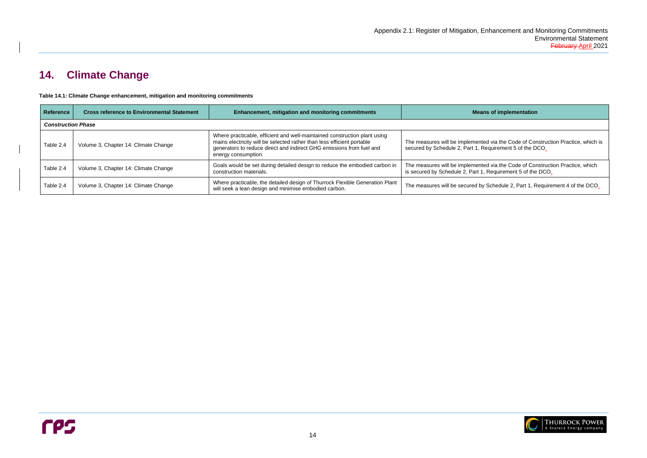I via the Code of Construction Practice, which is quirement 5 of the DCO.

I via the Code of Construction Practice, which Requirement 5 of the DCO<sub>-</sub>

Schedule 2, Part 1, Requirement 4 of the DCO.



# <span id="page-16-0"></span>**14. Climate Change**

<span id="page-16-1"></span>**Table 14.1: Climate Change enhancement, mitigation and monitoring commitments**

| <b>Reference</b>          | <b>Cross reference to Environmental Statement</b> | <b>Enhancement, mitigation and monitoring commitments</b>                                                                                                                                                                                          | <b>Means of implementation</b>                                                                                 |
|---------------------------|---------------------------------------------------|----------------------------------------------------------------------------------------------------------------------------------------------------------------------------------------------------------------------------------------------------|----------------------------------------------------------------------------------------------------------------|
| <b>Construction Phase</b> |                                                   |                                                                                                                                                                                                                                                    |                                                                                                                |
| Table 2.4                 | Volume 3, Chapter 14: Climate Change              | Where practicable, efficient and well-maintained construction plant using<br>mains electricity will be selected rather than less efficient portable<br>generators to reduce direct and indirect GHG emissions from fuel and<br>energy consumption. | The measures will be implemented via the Code of Cor<br>secured by Schedule 2, Part 1, Requirement 5 of the D  |
| Table 2.4                 | Volume 3, Chapter 14: Climate Change              | Goals would be set during detailed design to reduce the embodied carbon in<br>construction materials.                                                                                                                                              | The measures will be implemented via the Code of Cor<br>is secured by Schedule 2, Part 1, Requirement 5 of the |
| Table 2.4                 | Volume 3, Chapter 14: Climate Change              | Where practicable, the detailed design of Thurrock Flexible Generation Plant<br>will seek a lean design and minimise embodied carbon.                                                                                                              | The measures will be secured by Schedule 2, Part 1, R                                                          |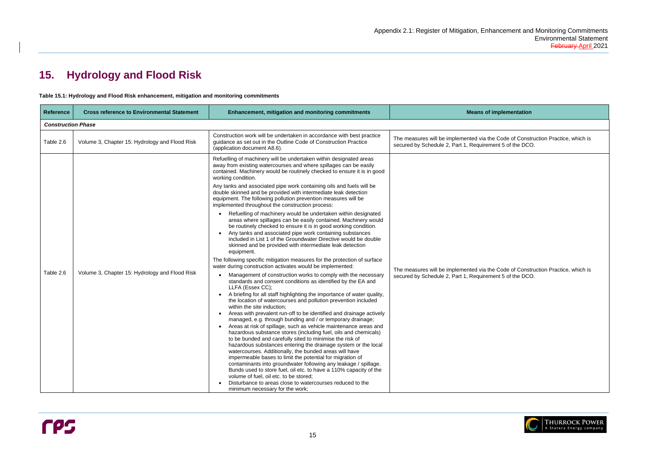the Code of Construction Practice, which is ement 5 of the DCO.

the Code of Construction Practice, which is ement 5 of the DCO.



# <span id="page-17-0"></span>**15. Hydrology and Flood Risk**

<span id="page-17-1"></span>

| Table 15.1: Hydrology and Flood Risk enhancement, mitigation and monitoring commitments |  |
|-----------------------------------------------------------------------------------------|--|
|-----------------------------------------------------------------------------------------|--|

| <b>Reference</b>          | <b>Cross reference to Environmental Statement</b> | <b>Enhancement, mitigation and monitoring commitments</b>                                                                                                                                                                                                                                                                                                                                                                                                                                                                                                                                                                                                                                                                                                                                                                                                                                                                                                                                                                                                                                                                                                                                                                                                                                                                                                                                                                                                                                                                                                                                                                                                                                                                                                                                                                                                                                                                                      | <b>Means of implementation</b>                                                                                    |
|---------------------------|---------------------------------------------------|------------------------------------------------------------------------------------------------------------------------------------------------------------------------------------------------------------------------------------------------------------------------------------------------------------------------------------------------------------------------------------------------------------------------------------------------------------------------------------------------------------------------------------------------------------------------------------------------------------------------------------------------------------------------------------------------------------------------------------------------------------------------------------------------------------------------------------------------------------------------------------------------------------------------------------------------------------------------------------------------------------------------------------------------------------------------------------------------------------------------------------------------------------------------------------------------------------------------------------------------------------------------------------------------------------------------------------------------------------------------------------------------------------------------------------------------------------------------------------------------------------------------------------------------------------------------------------------------------------------------------------------------------------------------------------------------------------------------------------------------------------------------------------------------------------------------------------------------------------------------------------------------------------------------------------------------|-------------------------------------------------------------------------------------------------------------------|
| <b>Construction Phase</b> |                                                   |                                                                                                                                                                                                                                                                                                                                                                                                                                                                                                                                                                                                                                                                                                                                                                                                                                                                                                                                                                                                                                                                                                                                                                                                                                                                                                                                                                                                                                                                                                                                                                                                                                                                                                                                                                                                                                                                                                                                                |                                                                                                                   |
| Table 2.6                 | Volume 3, Chapter 15: Hydrology and Flood Risk    | Construction work will be undertaken in accordance with best practice<br>guidance as set out in the Outline Code of Construction Practice<br>(application document A8.6).                                                                                                                                                                                                                                                                                                                                                                                                                                                                                                                                                                                                                                                                                                                                                                                                                                                                                                                                                                                                                                                                                                                                                                                                                                                                                                                                                                                                                                                                                                                                                                                                                                                                                                                                                                      | The measures will be implemented via the Code of Const<br>secured by Schedule 2, Part 1, Requirement 5 of the DCO |
| Table 2.6                 | Volume 3, Chapter 15: Hydrology and Flood Risk    | Refuelling of machinery will be undertaken within designated areas<br>away from existing watercourses and where spillages can be easily<br>contained. Machinery would be routinely checked to ensure it is in good<br>working condition.<br>Any tanks and associated pipe work containing oils and fuels will be<br>double skinned and be provided with intermediate leak detection<br>equipment. The following pollution prevention measures will be<br>implemented throughout the construction process:<br>Refuelling of machinery would be undertaken within designated<br>areas where spillages can be easily contained. Machinery would<br>be routinely checked to ensure it is in good working condition.<br>Any tanks and associated pipe work containing substances<br>included in List 1 of the Groundwater Directive would be double<br>skinned and be provided with intermediate leak detection<br>equipment.<br>The following specific mitigation measures for the protection of surface<br>water during construction activates would be implemented:<br>Management of construction works to comply with the necessary<br>standards and consent conditions as identified by the EA and<br>LLFA (Essex CC);<br>A briefing for all staff highlighting the importance of water quality,<br>the location of watercourses and pollution prevention included<br>within the site induction;<br>Areas with prevalent run-off to be identified and drainage actively<br>$\bullet$<br>managed, e.g. through bunding and / or temporary drainage;<br>Areas at risk of spillage, such as vehicle maintenance areas and<br>hazardous substance stores (including fuel, oils and chemicals)<br>to be bunded and carefully sited to minimise the risk of<br>hazardous substances entering the drainage system or the local<br>watercourses. Additionally, the bunded areas will have<br>impermeable bases to limit the potential for migration of | The measures will be implemented via the Code of Const<br>secured by Schedule 2, Part 1, Requirement 5 of the DCO |
|                           |                                                   | contaminants into groundwater following any leakage / spillage.<br>Bunds used to store fuel, oil etc. to have a 110% capacity of the<br>volume of fuel, oil etc. to be stored;<br>Disturbance to areas close to watercourses reduced to the<br>minimum necessary for the work;                                                                                                                                                                                                                                                                                                                                                                                                                                                                                                                                                                                                                                                                                                                                                                                                                                                                                                                                                                                                                                                                                                                                                                                                                                                                                                                                                                                                                                                                                                                                                                                                                                                                 |                                                                                                                   |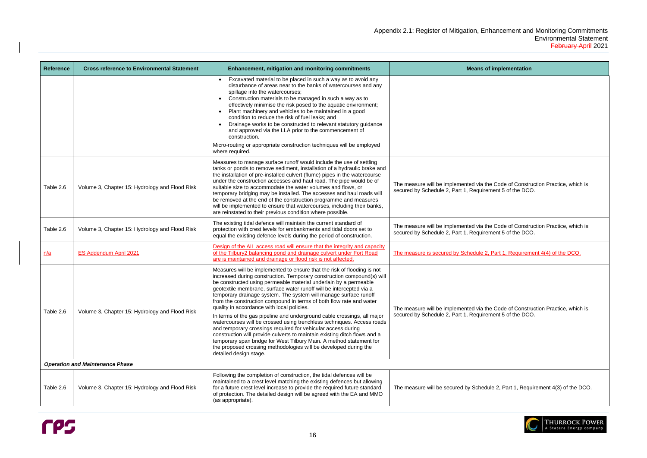| <b>Reference</b> | <b>Cross reference to Environmental Statement</b> | <b>Enhancement, mitigation and monitoring commitments</b>                                                                                                                                                                                                                                                                                                                                                                                                                                                                                                                                                                                                                                                                                                                                                                                                                                                                          | <b>Means of implementation</b>                                                                                                          |
|------------------|---------------------------------------------------|------------------------------------------------------------------------------------------------------------------------------------------------------------------------------------------------------------------------------------------------------------------------------------------------------------------------------------------------------------------------------------------------------------------------------------------------------------------------------------------------------------------------------------------------------------------------------------------------------------------------------------------------------------------------------------------------------------------------------------------------------------------------------------------------------------------------------------------------------------------------------------------------------------------------------------|-----------------------------------------------------------------------------------------------------------------------------------------|
|                  |                                                   | Excavated material to be placed in such a way as to avoid any<br>disturbance of areas near to the banks of watercourses and any<br>spillage into the watercourses;<br>Construction materials to be managed in such a way as to<br>effectively minimise the risk posed to the aquatic environment;<br>Plant machinery and vehicles to be maintained in a good<br>condition to reduce the risk of fuel leaks; and<br>Drainage works to be constructed to relevant statutory guidance<br>and approved via the LLA prior to the commencement of<br>construction.<br>Micro-routing or appropriate construction techniques will be employed                                                                                                                                                                                                                                                                                              |                                                                                                                                         |
| Table 2.6        | Volume 3, Chapter 15: Hydrology and Flood Risk    | where required.<br>Measures to manage surface runoff would include the use of settling<br>tanks or ponds to remove sediment, installation of a hydraulic brake and<br>the installation of pre-installed culvert (flume) pipes in the watercourse<br>under the construction accesses and haul road. The pipe would be of<br>suitable size to accommodate the water volumes and flows, or<br>temporary bridging may be installed. The accesses and haul roads will<br>be removed at the end of the construction programme and measures<br>will be implemented to ensure that watercourses, including their banks,<br>are reinstated to their previous condition where possible.                                                                                                                                                                                                                                                      | The measure will be implemented via the Code of Construction Practice, whic<br>secured by Schedule 2, Part 1, Requirement 5 of the DCO. |
| Table 2.6        | Volume 3, Chapter 15: Hydrology and Flood Risk    | The existing tidal defence will maintain the current standard of<br>protection with crest levels for embankments and tidal doors set to<br>equal the existing defence levels during the period of construction.                                                                                                                                                                                                                                                                                                                                                                                                                                                                                                                                                                                                                                                                                                                    | The measure will be implemented via the Code of Construction Practice, whic<br>secured by Schedule 2, Part 1, Requirement 5 of the DCO. |
| <u>n/a</u>       | ES Addendum April 2021                            | Design of the AIL access road will ensure that the integrity and capacity<br>of the Tilbury2 balancing pond and drainage culvert under Fort Road<br>are is maintained and drainage or flood risk is not affected.                                                                                                                                                                                                                                                                                                                                                                                                                                                                                                                                                                                                                                                                                                                  | The measure is secured by Schedule 2, Part 1, Requirement 4(4) of the DCO.                                                              |
| Table 2.6        | Volume 3, Chapter 15: Hydrology and Flood Risk    | Measures will be implemented to ensure that the risk of flooding is not<br>increased during construction. Temporary construction compound(s) will<br>be constructed using permeable material underlain by a permeable<br>geotextile membrane, surface water runoff will be intercepted via a<br>temporary drainage system. The system will manage surface runoff<br>from the construction compound in terms of both flow rate and water<br>quality in accordance with local policies.<br>In terms of the gas pipeline and underground cable crossings, all major<br>watercourses will be crossed using trenchless techniques. Access roads<br>and temporary crossings required for vehicular access during<br>construction will provide culverts to maintain existing ditch flows and a<br>temporary span bridge for West Tilbury Main. A method statement for<br>the proposed crossing methodologies will be developed during the | The measure will be implemented via the Code of Construction Practice, whic<br>secured by Schedule 2, Part 1, Requirement 5 of the DCO. |
|                  |                                                   | detailed design stage.                                                                                                                                                                                                                                                                                                                                                                                                                                                                                                                                                                                                                                                                                                                                                                                                                                                                                                             |                                                                                                                                         |
|                  | <b>Operation and Maintenance Phase</b>            |                                                                                                                                                                                                                                                                                                                                                                                                                                                                                                                                                                                                                                                                                                                                                                                                                                                                                                                                    |                                                                                                                                         |
| Table 2.6        | Volume 3, Chapter 15: Hydrology and Flood Risk    | Following the completion of construction, the tidal defences will be<br>maintained to a crest level matching the existing defences but allowing<br>for a future crest level increase to provide the required future standard<br>of protection. The detailed design will be agreed with the EA and MMO<br>(as appropriate).                                                                                                                                                                                                                                                                                                                                                                                                                                                                                                                                                                                                         | The measure will be secured by Schedule 2, Part 1, Requirement 4(3) of the I                                                            |



| <b>Means of implementation</b>                                                                                                              |
|---------------------------------------------------------------------------------------------------------------------------------------------|
|                                                                                                                                             |
|                                                                                                                                             |
|                                                                                                                                             |
|                                                                                                                                             |
|                                                                                                                                             |
| The measure will be implemented via the Code of Construction Practice, which is<br>secured by Schedule 2, Part 1, Requirement 5 of the DCO. |
|                                                                                                                                             |
| The measure will be implemented via the Code of Construction Practice, which is<br>secured by Schedule 2, Part 1, Requirement 5 of the DCO. |
| The measure is secured by Schedule 2, Part 1, Requirement 4(4) of the DCO.                                                                  |
|                                                                                                                                             |
|                                                                                                                                             |
| The measure will be implemented via the Code of Construction Practice, which is<br>secured by Schedule 2, Part 1, Requirement 5 of the DCO. |
|                                                                                                                                             |
|                                                                                                                                             |
| The measure will be secured by Schedule 2, Part 1, Requirement 4(3) of the DCO.                                                             |

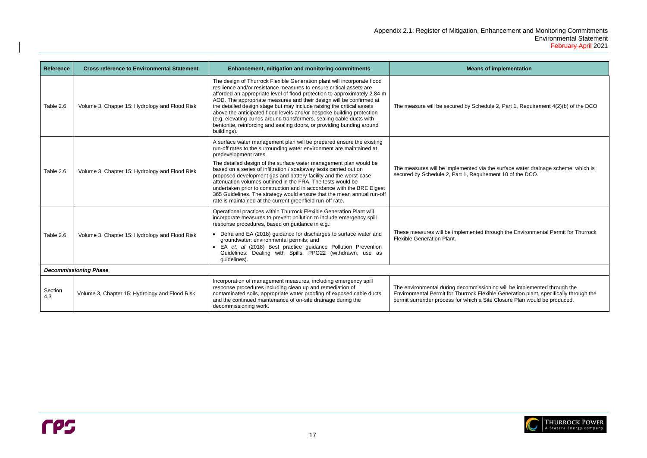# $H$ ule 2, Part 1, Requirement  $4(2)(b)$  of the DCO the surface water drainage scheme, which is ement 10 of the DCO. hrough the Environmental Permit for Thurrock oning will be implemented through the kible Generation plant, specifically through the



| <b>Reference</b> | <b>Cross reference to Environmental Statement</b> | <b>Enhancement, mitigation and monitoring commitments</b>                                                                                                                                                                                                                                                                                                                                                                                                                                                                                                                                                                                                            | <b>Means of implementation</b>                                                                                                                                                                                                         |
|------------------|---------------------------------------------------|----------------------------------------------------------------------------------------------------------------------------------------------------------------------------------------------------------------------------------------------------------------------------------------------------------------------------------------------------------------------------------------------------------------------------------------------------------------------------------------------------------------------------------------------------------------------------------------------------------------------------------------------------------------------|----------------------------------------------------------------------------------------------------------------------------------------------------------------------------------------------------------------------------------------|
| Table 2.6        | Volume 3, Chapter 15: Hydrology and Flood Risk    | The design of Thurrock Flexible Generation plant will incorporate flood<br>resilience and/or resistance measures to ensure critical assets are<br>afforded an appropriate level of flood protection to approximately 2.84 m<br>AOD. The appropriate measures and their design will be confirmed at<br>the detailed design stage but may include raising the critical assets<br>above the anticipated flood levels and/or bespoke building protection<br>(e.g. elevating bunds around transformers, sealing cable ducts with<br>bentonite, reinforcing and sealing doors, or providing bunding around<br>buildings).                                                  | The measure will be secured by Schedule 2, Part 1, Requirement 4(2)(b) of                                                                                                                                                              |
| Table 2.6        | Volume 3, Chapter 15: Hydrology and Flood Risk    | A surface water management plan will be prepared ensure the existing<br>run-off rates to the surrounding water environment are maintained at<br>predevelopment rates.<br>The detailed design of the surface water management plan would be<br>based on a series of infiltration / soakaway tests carried out on<br>proposed development gas and battery facility and the worst-case<br>attenuation volumes outlined in the FRA. The tests would be<br>undertaken prior to construction and in accordance with the BRE Digest<br>365 Guidelines. The strategy would ensure that the mean annual run-off<br>rate is maintained at the current greenfield run-off rate. | The measures will be implemented via the surface water drainage scheme,<br>secured by Schedule 2, Part 1, Requirement 10 of the DCO.                                                                                                   |
| Table 2.6        | Volume 3, Chapter 15: Hydrology and Flood Risk    | Operational practices within Thurrock Flexible Generation Plant will<br>incorporate measures to prevent pollution to include emergency spill<br>response procedures, based on guidance in e.g.:<br>Defra and EA (2018) guidance for discharges to surface water and<br>groundwater: environmental permits; and<br>EA et. al (2018) Best practice guidance Pollution Prevention<br>Guidelines: Dealing with Spills: PPG22 (withdrawn, use as<br>guidelines).                                                                                                                                                                                                          | These measures will be implemented through the Environmental Permit for<br><b>Flexible Generation Plant.</b>                                                                                                                           |
|                  | <b>Decommissioning Phase</b>                      |                                                                                                                                                                                                                                                                                                                                                                                                                                                                                                                                                                                                                                                                      |                                                                                                                                                                                                                                        |
| Section<br>4.3   | Volume 3, Chapter 15: Hydrology and Flood Risk    | Incorporation of management measures, including emergency spill<br>response procedures including clean up and remediation of<br>contaminated soils, appropriate water proofing of exposed cable ducts<br>and the continued maintenance of on-site drainage during the<br>decommissioning work.                                                                                                                                                                                                                                                                                                                                                                       | The environmental during decommissioning will be implemented through the<br>Environmental Permit for Thurrock Flexible Generation plant, specifically thr<br>permit surrender process for which a Site Closure Plan would be produced. |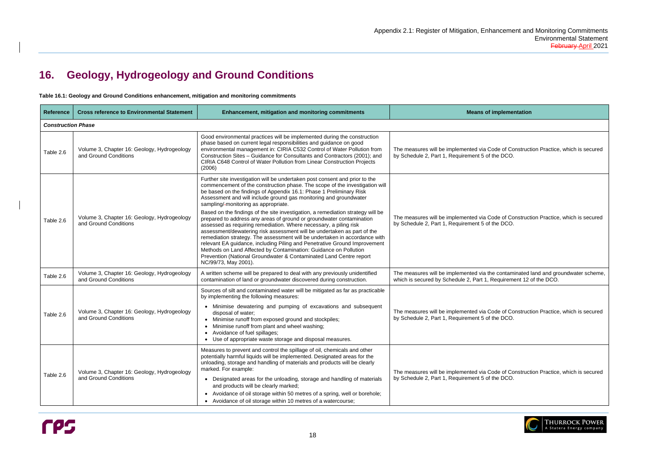# Code of Construction Practice, which is secured of the DCO. Code of Construction Practice, which is secured of the DCO. the contaminated land and groundwater scheme, Requirement 12 of the DCO. Code of Construction Practice, which is secured of the DCO.

Code of Construction Practice, which is secured of the DCO.



# <span id="page-20-0"></span>**16. Geology, Hydrogeology and Ground Conditions**

<span id="page-20-1"></span>**Table 16.1: Geology and Ground Conditions enhancement, mitigation and monitoring commitments**



| <b>Reference</b>          | <b>Cross reference to Environmental Statement</b>                    | <b>Enhancement, mitigation and monitoring commitments</b>                                                                                                                                                                                                                                                                                                                                                                                                                                                                                                                                                                                                                                                                                                                                                                                                                                                                                                                              | <b>Means of implementation</b>                                                                                  |  |  |
|---------------------------|----------------------------------------------------------------------|----------------------------------------------------------------------------------------------------------------------------------------------------------------------------------------------------------------------------------------------------------------------------------------------------------------------------------------------------------------------------------------------------------------------------------------------------------------------------------------------------------------------------------------------------------------------------------------------------------------------------------------------------------------------------------------------------------------------------------------------------------------------------------------------------------------------------------------------------------------------------------------------------------------------------------------------------------------------------------------|-----------------------------------------------------------------------------------------------------------------|--|--|
| <b>Construction Phase</b> |                                                                      |                                                                                                                                                                                                                                                                                                                                                                                                                                                                                                                                                                                                                                                                                                                                                                                                                                                                                                                                                                                        |                                                                                                                 |  |  |
| Table 2.6                 | Volume 3, Chapter 16: Geology, Hydrogeology<br>and Ground Conditions | Good environmental practices will be implemented during the construction<br>phase based on current legal responsibilities and guidance on good<br>environmental management in: CIRIA C532 Control of Water Pollution from<br>Construction Sites - Guidance for Consultants and Contractors (2001); and<br>CIRIA C648 Control of Water Pollution from Linear Construction Projects<br>(2006)                                                                                                                                                                                                                                                                                                                                                                                                                                                                                                                                                                                            | The measures will be implemented via Code of Construct<br>by Schedule 2, Part 1, Requirement 5 of the DCO.      |  |  |
| Table 2.6                 | Volume 3, Chapter 16: Geology, Hydrogeology<br>and Ground Conditions | Further site investigation will be undertaken post consent and prior to the<br>commencement of the construction phase. The scope of the investigation will<br>be based on the findings of Appendix 16.1: Phase 1 Preliminary Risk<br>Assessment and will include ground gas monitoring and groundwater<br>sampling/-monitoring as appropriate.<br>Based on the findings of the site investigation, a remediation strategy will be<br>prepared to address any areas of ground or groundwater contamination<br>assessed as requiring remediation. Where necessary, a piling risk<br>assessment/dewatering risk assessment will be undertaken as part of the<br>remediation strategy. The assessment will be undertaken in accordance with<br>relevant EA guidance, including Piling and Penetrative Ground Improvement<br>Methods on Land Affected by Contamination: Guidance on Pollution<br>Prevention (National Groundwater & Contaminated Land Centre report<br>NC/99/73, May 2001). | The measures will be implemented via Code of Construct<br>by Schedule 2, Part 1, Requirement 5 of the DCO.      |  |  |
| Table 2.6                 | Volume 3, Chapter 16: Geology, Hydrogeology<br>and Ground Conditions | A written scheme will be prepared to deal with any previously unidentified<br>contamination of land or groundwater discovered during construction.                                                                                                                                                                                                                                                                                                                                                                                                                                                                                                                                                                                                                                                                                                                                                                                                                                     | The measures will be implemented via the contaminated<br>which is secured by Schedule 2, Part 1, Requirement 12 |  |  |
| Table 2.6                 | Volume 3, Chapter 16: Geology, Hydrogeology<br>and Ground Conditions | Sources of silt and contaminated water will be mitigated as far as practicable<br>by implementing the following measures:<br>• Minimise dewatering and pumping of excavations and subsequent<br>disposal of water;<br>Minimise runoff from exposed ground and stockpiles;<br>$\bullet$<br>Minimise runoff from plant and wheel washing;<br>Avoidance of fuel spillages;<br>$\bullet$<br>Use of appropriate waste storage and disposal measures.                                                                                                                                                                                                                                                                                                                                                                                                                                                                                                                                        | The measures will be implemented via Code of Construct<br>by Schedule 2, Part 1, Requirement 5 of the DCO.      |  |  |
| Table 2.6                 | Volume 3, Chapter 16: Geology, Hydrogeology<br>and Ground Conditions | Measures to prevent and control the spillage of oil, chemicals and other<br>potentially harmful liquids will be implemented. Designated areas for the<br>unloading, storage and handling of materials and products will be clearly<br>marked. For example:<br>• Designated areas for the unloading, storage and handling of materials<br>and products will be clearly marked;<br>Avoidance of oil storage within 50 metres of a spring, well or borehole;<br>$\bullet$<br>• Avoidance of oil storage within 10 metres of a watercourse;                                                                                                                                                                                                                                                                                                                                                                                                                                                | The measures will be implemented via Code of Construct<br>by Schedule 2, Part 1, Requirement 5 of the DCO.      |  |  |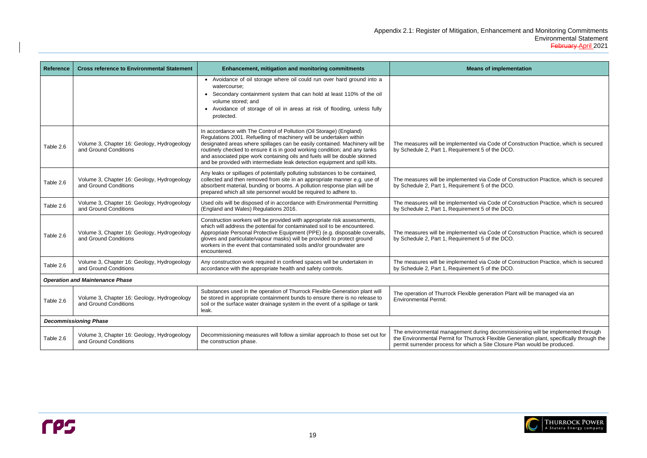Code of Construction Practice, which is secured f the DCO. Code of Construction Practice, which is secured f the DCO. Code of Construction Practice, which is secured f the DCO. Code of Construction Practice, which is secured f the DCO. Code of Construction Practice, which is secured f the DCO. eration Plant will be managed via an decommissioning will be implemented through the Environmental Permit for Thurrock Flexible Generation plant, specifically through the



| Reference                              | <b>Cross reference to Environmental Statement</b>                    | <b>Enhancement, mitigation and monitoring commitments</b>                                                                                                                                                                                                                                                                                                                                                                                                          | <b>Means of implementation</b>                                                                                                                                                                                                    |  |
|----------------------------------------|----------------------------------------------------------------------|--------------------------------------------------------------------------------------------------------------------------------------------------------------------------------------------------------------------------------------------------------------------------------------------------------------------------------------------------------------------------------------------------------------------------------------------------------------------|-----------------------------------------------------------------------------------------------------------------------------------------------------------------------------------------------------------------------------------|--|
|                                        |                                                                      | • Avoidance of oil storage where oil could run over hard ground into a<br>watercourse;<br>Secondary containment system that can hold at least 110% of the oil<br>$\bullet$<br>volume stored; and<br>Avoidance of storage of oil in areas at risk of flooding, unless fully<br>$\bullet$<br>protected.                                                                                                                                                              |                                                                                                                                                                                                                                   |  |
| Table 2.6                              | Volume 3, Chapter 16: Geology, Hydrogeology<br>and Ground Conditions | In accordance with The Control of Pollution (Oil Storage) (England)<br>Regulations 2001. Refuelling of machinery will be undertaken within<br>designated areas where spillages can be easily contained. Machinery will be<br>routinely checked to ensure it is in good working condition; and any tanks<br>and associated pipe work containing oils and fuels will be double skinned<br>and be provided with intermediate leak detection equipment and spill kits. | The measures will be implemented via Code of Construction Practice, whic<br>by Schedule 2, Part 1, Requirement 5 of the DCO.                                                                                                      |  |
| Table 2.6                              | Volume 3, Chapter 16: Geology, Hydrogeology<br>and Ground Conditions | Any leaks or spillages of potentially polluting substances to be contained,<br>collected and then removed from site in an appropriate manner e.g. use of<br>absorbent material, bunding or booms. A pollution response plan will be<br>prepared which all site personnel would be required to adhere to.                                                                                                                                                           | The measures will be implemented via Code of Construction Practice, whic<br>by Schedule 2, Part 1, Requirement 5 of the DCO.                                                                                                      |  |
| Table 2.6                              | Volume 3, Chapter 16: Geology, Hydrogeology<br>and Ground Conditions | Used oils will be disposed of in accordance with Environmental Permitting<br>(England and Wales) Regulations 2016.                                                                                                                                                                                                                                                                                                                                                 | The measures will be implemented via Code of Construction Practice, whic<br>by Schedule 2, Part 1, Requirement 5 of the DCO.                                                                                                      |  |
| Table 2.6                              | Volume 3, Chapter 16: Geology, Hydrogeology<br>and Ground Conditions | Construction workers will be provided with appropriate risk assessments,<br>which will address the potential for contaminated soil to be encountered.<br>Appropriate Personal Protective Equipment (PPE) (e.g. disposable coveralls,<br>gloves and particulate/vapour masks) will be provided to protect ground<br>workers in the event that contaminated soils and/or groundwater are<br>encountered.                                                             | The measures will be implemented via Code of Construction Practice, whic<br>by Schedule 2, Part 1, Requirement 5 of the DCO.                                                                                                      |  |
| Table 2.6                              | Volume 3, Chapter 16: Geology, Hydrogeology<br>and Ground Conditions | Any construction work required in confined spaces will be undertaken in<br>accordance with the appropriate health and safety controls.                                                                                                                                                                                                                                                                                                                             | The measures will be implemented via Code of Construction Practice, whic<br>by Schedule 2, Part 1, Requirement 5 of the DCO.                                                                                                      |  |
| <b>Operation and Maintenance Phase</b> |                                                                      |                                                                                                                                                                                                                                                                                                                                                                                                                                                                    |                                                                                                                                                                                                                                   |  |
| Table 2.6                              | Volume 3, Chapter 16: Geology, Hydrogeology<br>and Ground Conditions | Substances used in the operation of Thurrock Flexible Generation plant will<br>be stored in appropriate containment bunds to ensure there is no release to<br>soil or the surface water drainage system in the event of a spillage or tank<br>leak.                                                                                                                                                                                                                | The operation of Thurrock Flexible generation Plant will be managed via an<br><b>Environmental Permit.</b>                                                                                                                        |  |
|                                        | <b>Decommissioning Phase</b>                                         |                                                                                                                                                                                                                                                                                                                                                                                                                                                                    |                                                                                                                                                                                                                                   |  |
| Table 2.6                              | Volume 3, Chapter 16: Geology, Hydrogeology<br>and Ground Conditions | Decommissioning measures will follow a similar approach to those set out for<br>the construction phase.                                                                                                                                                                                                                                                                                                                                                            | The environmental management during decommissioning will be implemen<br>the Environmental Permit for Thurrock Flexible Generation plant, specificall<br>permit surrender process for which a Site Closure Plan would be produced. |  |